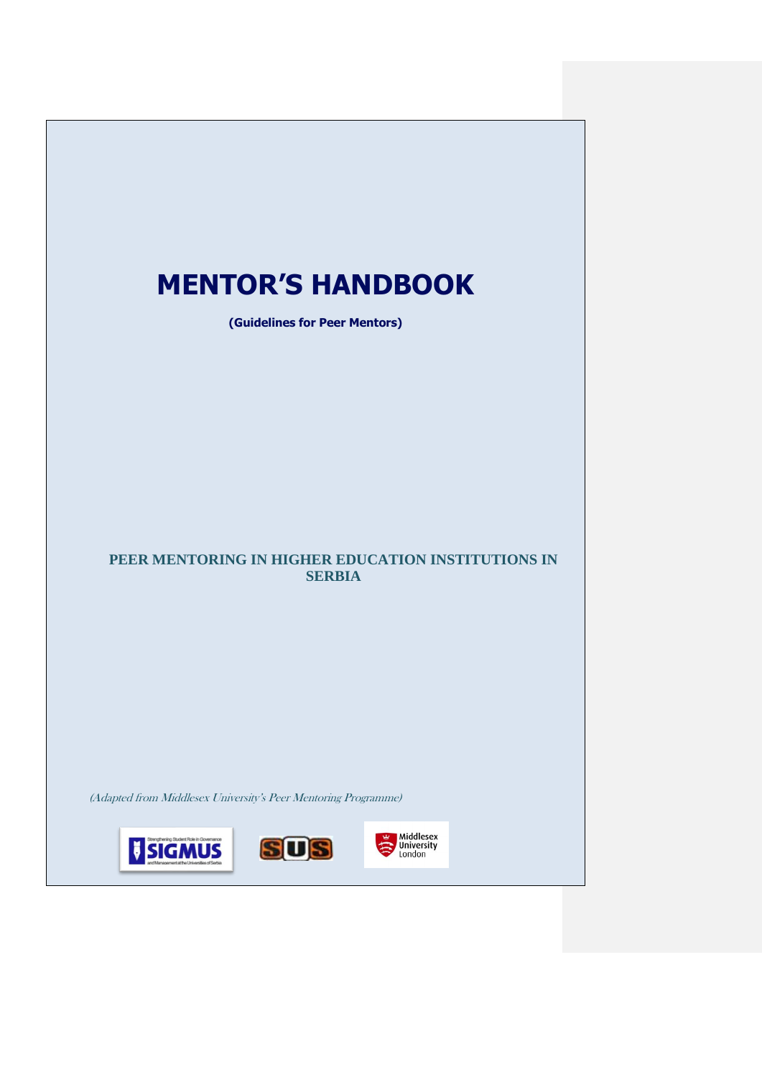# **MENTOR'S HANDBOOK (Guidelines for Peer Mentors) PEER MENTORING IN HIGHER EDUCATION INSTITUTIONS IN SERBIA** (Adapted from Middlesex University's Peer Mentoring Programme) Middlesex<br>
University<br>
London **V SIGMUS SUS**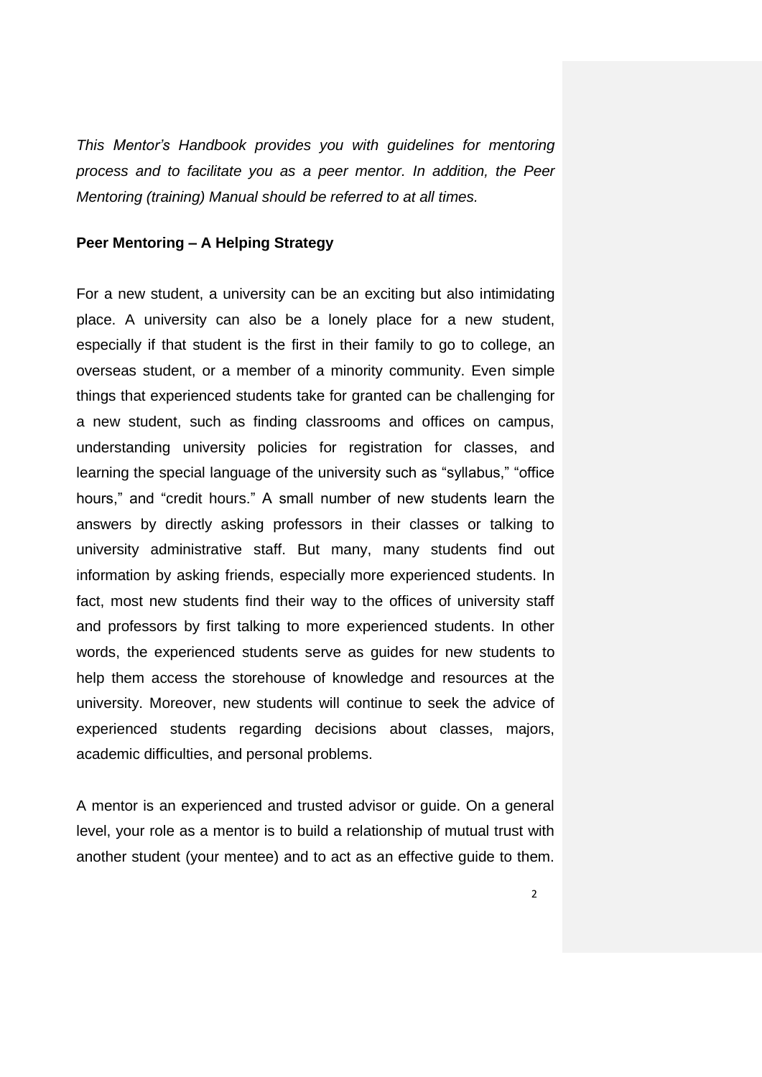*This Mentor's Handbook provides you with guidelines for mentoring process and to facilitate you as a peer mentor. In addition, the Peer Mentoring (training) Manual should be referred to at all times.*

#### **Peer Mentoring – A Helping Strategy**

For a new student, a university can be an exciting but also intimidating place. A university can also be a lonely place for a new student, especially if that student is the first in their family to go to college, an overseas student, or a member of a minority community. Even simple things that experienced students take for granted can be challenging for a new student, such as finding classrooms and offices on campus, understanding university policies for registration for classes, and learning the special language of the university such as "syllabus," "office hours," and "credit hours." A small number of new students learn the answers by directly asking professors in their classes or talking to university administrative staff. But many, many students find out information by asking friends, especially more experienced students. In fact, most new students find their way to the offices of university staff and professors by first talking to more experienced students. In other words, the experienced students serve as guides for new students to help them access the storehouse of knowledge and resources at the university. Moreover, new students will continue to seek the advice of experienced students regarding decisions about classes, majors, academic difficulties, and personal problems.

A mentor is an experienced and trusted advisor or guide. On a general level, your role as a mentor is to build a relationship of mutual trust with another student (your mentee) and to act as an effective guide to them.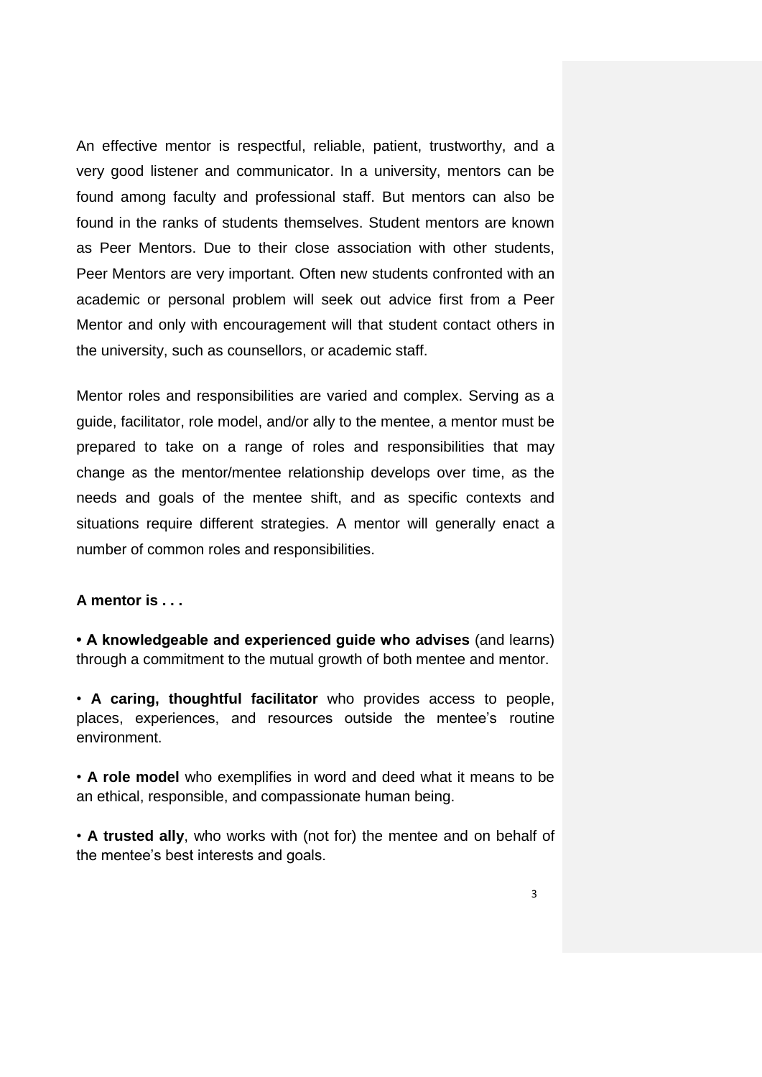An effective mentor is respectful, reliable, patient, trustworthy, and a very good listener and communicator. In a university, mentors can be found among faculty and professional staff. But mentors can also be found in the ranks of students themselves. Student mentors are known as Peer Mentors. Due to their close association with other students, Peer Mentors are very important. Often new students confronted with an academic or personal problem will seek out advice first from a Peer Mentor and only with encouragement will that student contact others in the university, such as counsellors, or academic staff.

Mentor roles and responsibilities are varied and complex. Serving as a guide, facilitator, role model, and/or ally to the mentee, a mentor must be prepared to take on a range of roles and responsibilities that may change as the mentor/mentee relationship develops over time, as the needs and goals of the mentee shift, and as specific contexts and situations require different strategies. A mentor will generally enact a number of common roles and responsibilities.

#### **A mentor is . . .**

**• A knowledgeable and experienced guide who advises** (and learns) through a commitment to the mutual growth of both mentee and mentor.

• **A caring, thoughtful facilitator** who provides access to people, places, experiences, and resources outside the mentee's routine environment.

• **A role model** who exemplifies in word and deed what it means to be an ethical, responsible, and compassionate human being.

• **A trusted ally**, who works with (not for) the mentee and on behalf of the mentee's best interests and goals.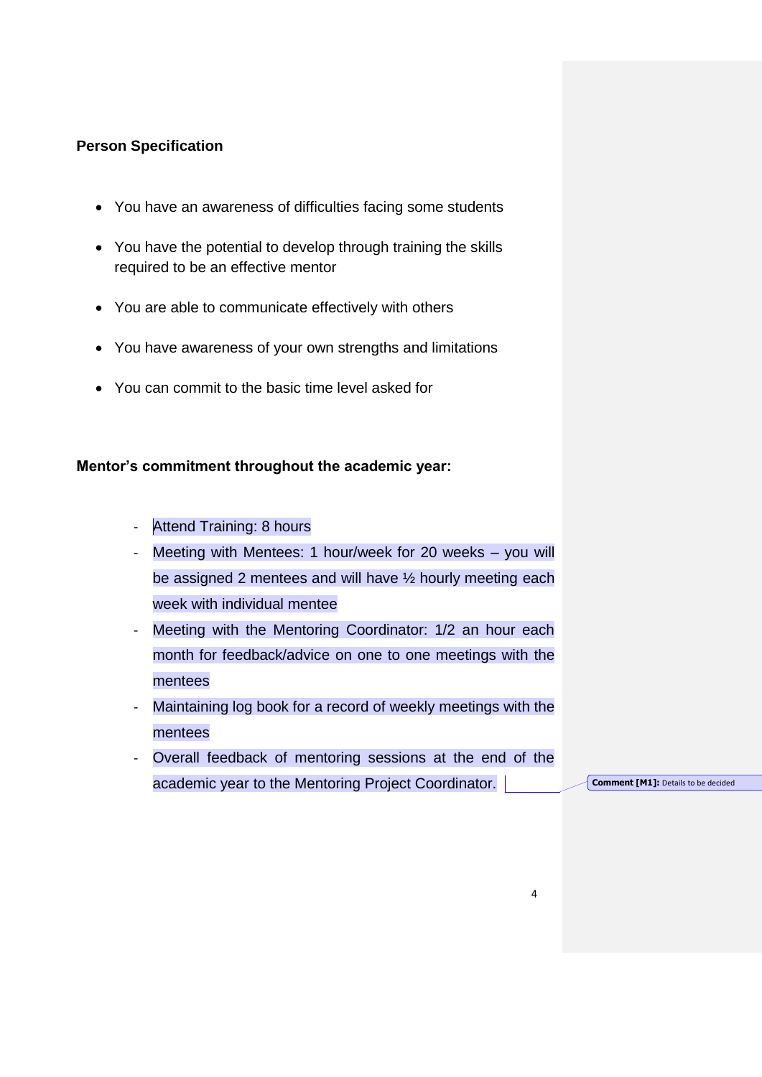### **Person Specification**

- You have an awareness of difficulties facing some students
- You have the potential to develop through training the skills required to be an effective mentor
- You are able to communicate effectively with others
- You have awareness of your own strengths and limitations
- You can commit to the basic time level asked for

## **Mentor's commitment throughout the academic year:**

- Attend Training: 8 hours
- Meeting with Mentees: 1 hour/week for 20 weeks you will be assigned 2 mentees and will have ½ hourly meeting each week with individual mentee
- Meeting with the Mentoring Coordinator: 1/2 an hour each month for feedback/advice on one to one meetings with the mentees
- Maintaining log book for a record of weekly meetings with the mentees
- Overall feedback of mentoring sessions at the end of the academic year to the Mentoring Project Coordinator.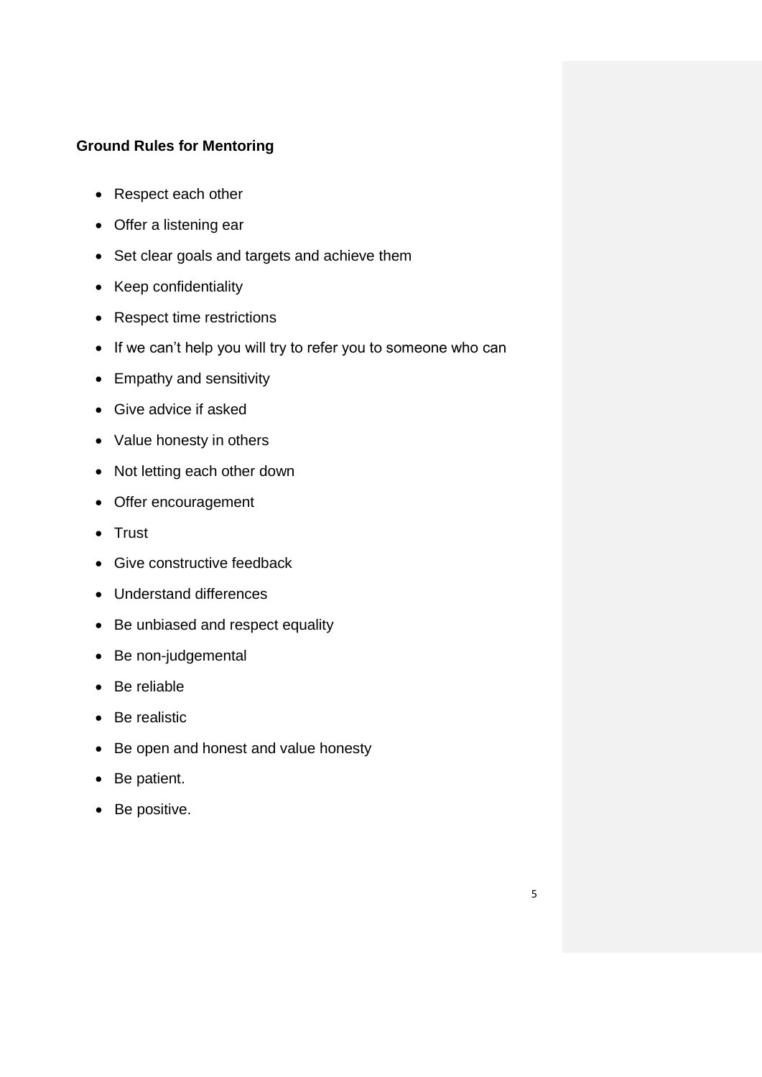# **Ground Rules for Mentoring**

- Respect each other
- Offer a listening ear
- Set clear goals and targets and achieve them
- Keep confidentiality
- Respect time restrictions
- If we can't help you will try to refer you to someone who can
- Empathy and sensitivity
- Give advice if asked
- Value honesty in others
- Not letting each other down
- Offer encouragement
- Trust
- Give constructive feedback
- Understand differences
- Be unbiased and respect equality
- Be non-judgemental
- Be reliable
- Be realistic
- Be open and honest and value honesty
- Be patient.
- Be positive.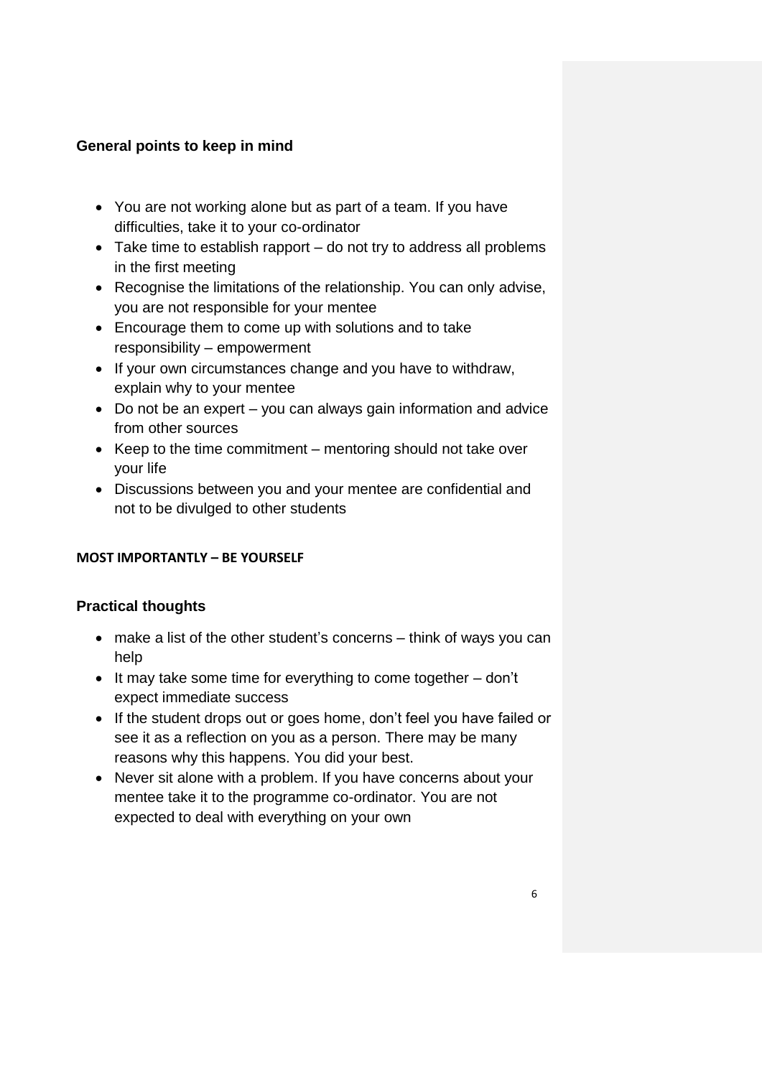# **General points to keep in mind**

- You are not working alone but as part of a team. If you have difficulties, take it to your co-ordinator
- Take time to establish rapport do not try to address all problems in the first meeting
- Recognise the limitations of the relationship. You can only advise, you are not responsible for your mentee
- Encourage them to come up with solutions and to take responsibility – empowerment
- If your own circumstances change and you have to withdraw, explain why to your mentee
- Do not be an expert you can always gain information and advice from other sources
- Keep to the time commitment mentoring should not take over your life
- Discussions between you and your mentee are confidential and not to be divulged to other students

# **MOST IMPORTANTLY – BE YOURSELF**

# **Practical thoughts**

- make a list of the other student's concerns think of ways you can help
- $\bullet$  It may take some time for everything to come together  $-$  don't expect immediate success
- If the student drops out or goes home, don't feel you have failed or see it as a reflection on you as a person. There may be many reasons why this happens. You did your best.
- Never sit alone with a problem. If you have concerns about your mentee take it to the programme co-ordinator. You are not expected to deal with everything on your own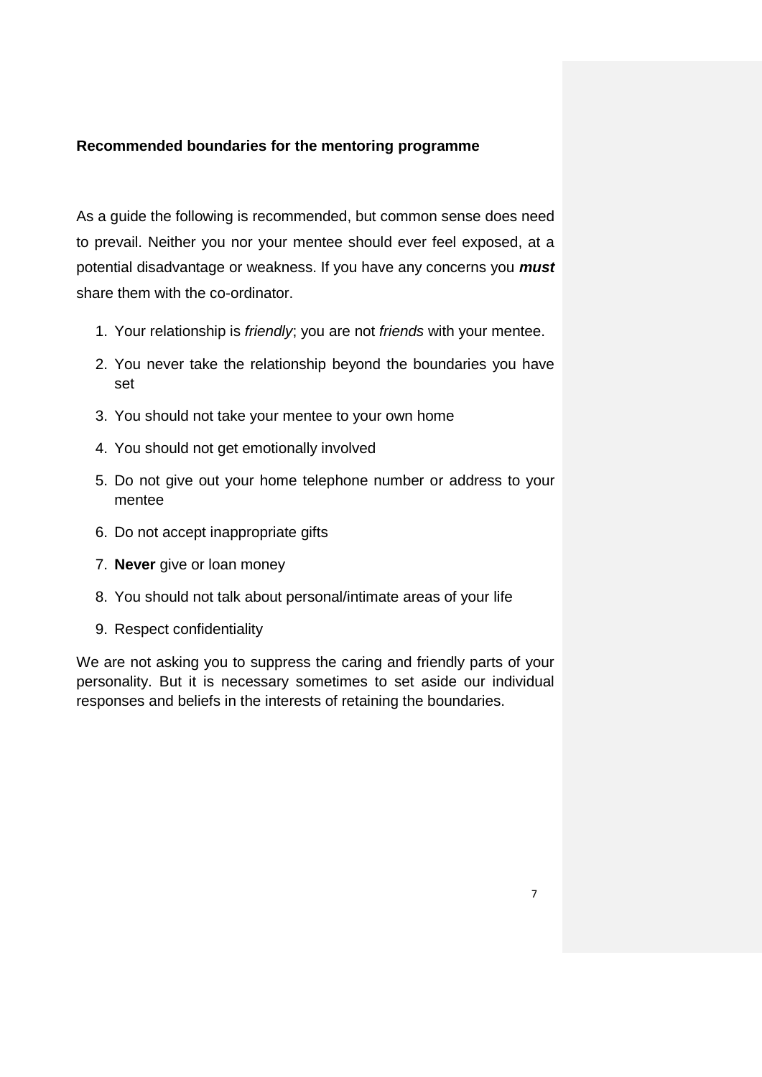### **Recommended boundaries for the mentoring programme**

As a guide the following is recommended, but common sense does need to prevail. Neither you nor your mentee should ever feel exposed, at a potential disadvantage or weakness. If you have any concerns you *must*  share them with the co-ordinator.

- 1. Your relationship is *friendly*; you are not *friends* with your mentee.
- 2. You never take the relationship beyond the boundaries you have set
- 3. You should not take your mentee to your own home
- 4. You should not get emotionally involved
- 5. Do not give out your home telephone number or address to your mentee
- 6. Do not accept inappropriate gifts
- 7. **Never** give or loan money
- 8. You should not talk about personal/intimate areas of your life
- 9. Respect confidentiality

We are not asking you to suppress the caring and friendly parts of your personality. But it is necessary sometimes to set aside our individual responses and beliefs in the interests of retaining the boundaries.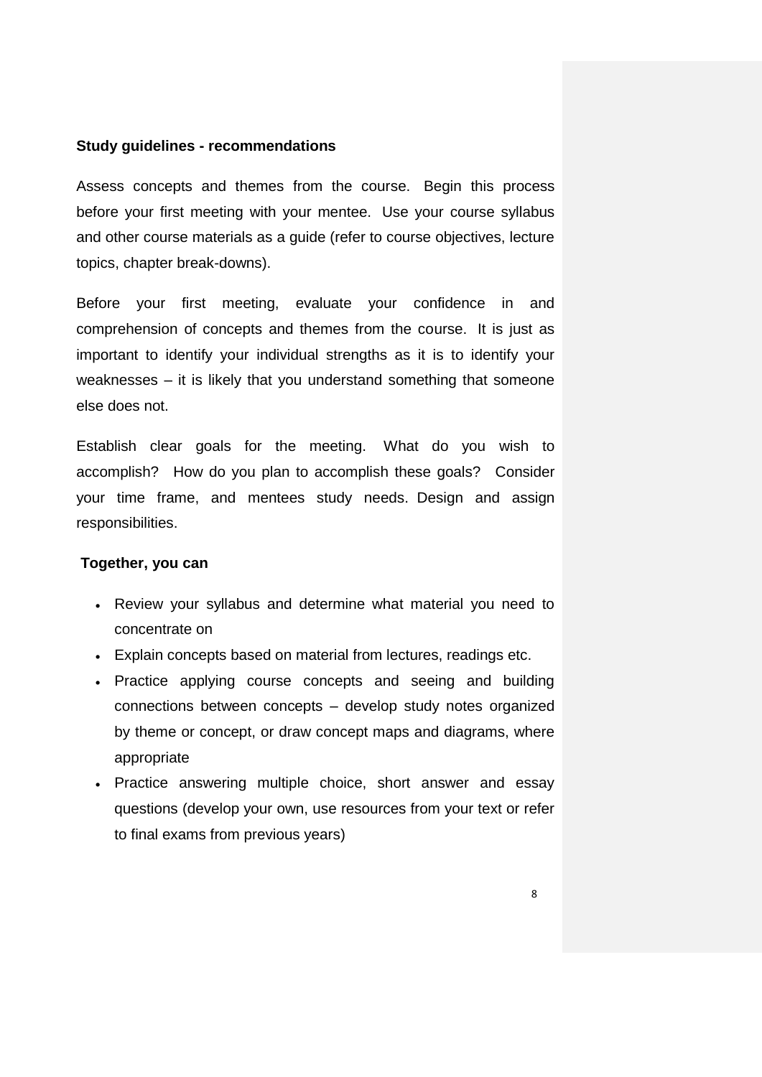#### **Study guidelines - recommendations**

Assess concepts and themes from the course. Begin this process before your first meeting with your mentee. Use your course syllabus and other course materials as a guide (refer to course objectives, lecture topics, chapter break-downs).

Before your first meeting, evaluate your confidence in and comprehension of concepts and themes from the course. It is just as important to identify your individual strengths as it is to identify your weaknesses – it is likely that you understand something that someone else does not.

Establish clear goals for the meeting. What do you wish to accomplish? How do you plan to accomplish these goals? Consider your time frame, and mentees study needs. Design and assign responsibilities.

#### **Together, you can**

- Review your syllabus and determine what material you need to concentrate on
- Explain concepts based on material from lectures, readings etc.
- Practice applying course concepts and seeing and building connections between concepts – develop study notes organized by theme or concept, or draw concept maps and diagrams, where appropriate
- Practice answering multiple choice, short answer and essay questions (develop your own, use resources from your text or refer to final exams from previous years)